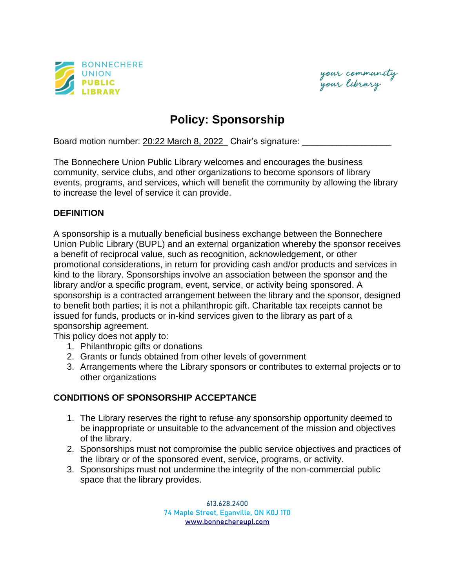

your community<br>your library

## **Policy: Sponsorship**

Board motion number: 20:22 March 8, 2022\_ Chair's signature:

The Bonnechere Union Public Library welcomes and encourages the business community, service clubs, and other organizations to become sponsors of library events, programs, and services, which will benefit the community by allowing the library to increase the level of service it can provide.

## **DEFINITION**

A sponsorship is a mutually beneficial business exchange between the Bonnechere Union Public Library (BUPL) and an external organization whereby the sponsor receives a benefit of reciprocal value, such as recognition, acknowledgement, or other promotional considerations, in return for providing cash and/or products and services in kind to the library. Sponsorships involve an association between the sponsor and the library and/or a specific program, event, service, or activity being sponsored. A sponsorship is a contracted arrangement between the library and the sponsor, designed to benefit both parties; it is not a philanthropic gift. Charitable tax receipts cannot be issued for funds, products or in-kind services given to the library as part of a sponsorship agreement.

This policy does not apply to:

- 1. Philanthropic gifts or donations
- 2. Grants or funds obtained from other levels of government
- 3. Arrangements where the Library sponsors or contributes to external projects or to other organizations

## **CONDITIONS OF SPONSORSHIP ACCEPTANCE**

- 1. The Library reserves the right to refuse any sponsorship opportunity deemed to be inappropriate or unsuitable to the advancement of the mission and objectives of the library.
- 2. Sponsorships must not compromise the public service objectives and practices of the library or of the sponsored event, service, programs, or activity.
- 3. Sponsorships must not undermine the integrity of the non-commercial public space that the library provides.

613.628.2400 74 Maple Street, Eganville, ON K0J 1T0 [www.bonnechereupl.com](http://www.bonnechereupl.com/)